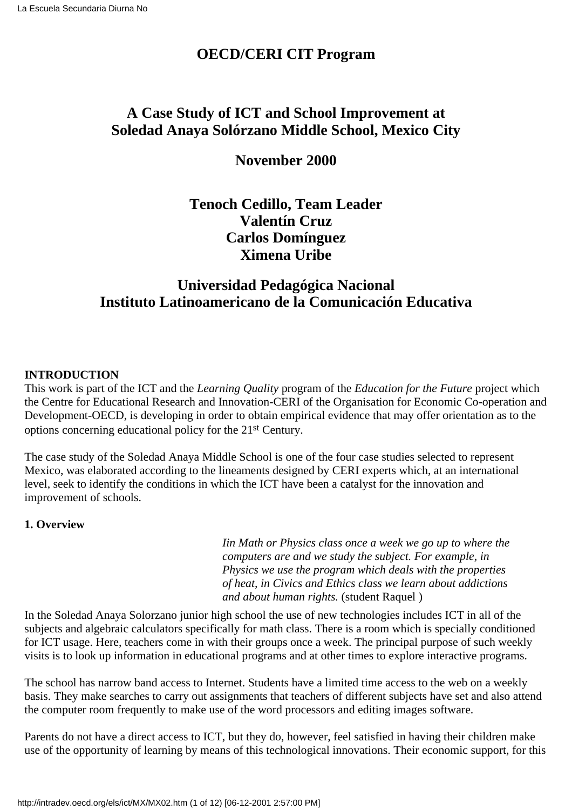# **OECD/CERI CIT Program**

# **A Case Study of ICT and School Improvement at Soledad Anaya Solórzano Middle School, Mexico City**

# **November 2000**

# **Tenoch Cedillo, Team Leader Valentín Cruz Carlos Domínguez Ximena Uribe**

# **Universidad Pedagógica Nacional Instituto Latinoamericano de la Comunicación Educativa**

# **INTRODUCTION**

This work is part of the ICT and the *Learning Quality* program of the *Education for the Future* project which the Centre for Educational Research and Innovation-CERI of the Organisation for Economic Co-operation and Development-OECD, is developing in order to obtain empirical evidence that may offer orientation as to the options concerning educational policy for the 21st Century.

The case study of the Soledad Anaya Middle School is one of the four case studies selected to represent Mexico, was elaborated according to the lineaments designed by CERI experts which, at an international level, seek to identify the conditions in which the ICT have been a catalyst for the innovation and improvement of schools.

# **1. Overview**

*Iin Math or Physics class once a week we go up to where the computers are and we study the subject. For example, in Physics we use the program which deals with the properties of heat, in Civics and Ethics class we learn about addictions and about human rights.* (student Raquel )

In the Soledad Anaya Solorzano junior high school the use of new technologies includes ICT in all of the subjects and algebraic calculators specifically for math class. There is a room which is specially conditioned for ICT usage. Here, teachers come in with their groups once a week. The principal purpose of such weekly visits is to look up information in educational programs and at other times to explore interactive programs.

The school has narrow band access to Internet. Students have a limited time access to the web on a weekly basis. They make searches to carry out assignments that teachers of different subjects have set and also attend the computer room frequently to make use of the word processors and editing images software.

Parents do not have a direct access to ICT, but they do, however, feel satisfied in having their children make use of the opportunity of learning by means of this technological innovations. Their economic support, for this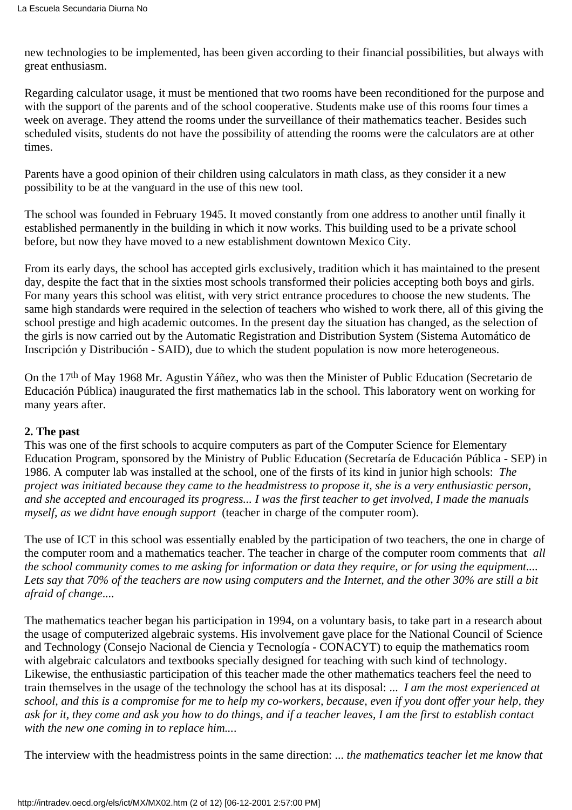new technologies to be implemented, has been given according to their financial possibilities, but always with great enthusiasm.

Regarding calculator usage, it must be mentioned that two rooms have been reconditioned for the purpose and with the support of the parents and of the school cooperative. Students make use of this rooms four times a week on average. They attend the rooms under the surveillance of their mathematics teacher. Besides such scheduled visits, students do not have the possibility of attending the rooms were the calculators are at other times.

Parents have a good opinion of their children using calculators in math class, as they consider it a new possibility to be at the vanguard in the use of this new tool.

The school was founded in February 1945. It moved constantly from one address to another until finally it established permanently in the building in which it now works. This building used to be a private school before, but now they have moved to a new establishment downtown Mexico City.

From its early days, the school has accepted girls exclusively, tradition which it has maintained to the present day, despite the fact that in the sixties most schools transformed their policies accepting both boys and girls. For many years this school was elitist, with very strict entrance procedures to choose the new students. The same high standards were required in the selection of teachers who wished to work there, all of this giving the school prestige and high academic outcomes. In the present day the situation has changed, as the selection of the girls is now carried out by the Automatic Registration and Distribution System (Sistema Automático de Inscripción y Distribución - SAID), due to which the student population is now more heterogeneous.

On the 17th of May 1968 Mr. Agustin Yáñez, who was then the Minister of Public Education (Secretario de Educación Pública) inaugurated the first mathematics lab in the school. This laboratory went on working for many years after.

# **2. The past**

This was one of the first schools to acquire computers as part of the Computer Science for Elementary Education Program, sponsored by the Ministry of Public Education (Secretaría de Educación Pública - SEP) in 1986. A computer lab was installed at the school, one of the firsts of its kind in junior high schools: *The project was initiated because they came to the headmistress to propose it, she is a very enthusiastic person, and she accepted and encouraged its progress... I was the first teacher to get involved, I made the manuals myself, as we didn t have enough support* (teacher in charge of the computer room).

The use of ICT in this school was essentially enabled by the participation of two teachers, the one in charge of the computer room and a mathematics teacher. The teacher in charge of the computer room comments that *all the school community comes to me asking for information or data they require, or for using the equipment.... Lets say that 70% of the teachers are now using computers and the Internet, and the other 30% are still a bit afraid of change*....

The mathematics teacher began his participation in 1994, on a voluntary basis, to take part in a research about the usage of computerized algebraic systems. His involvement gave place for the National Council of Science and Technology (Consejo Nacional de Ciencia y Tecnología - CONACYT) to equip the mathematics room with algebraic calculators and textbooks specially designed for teaching with such kind of technology. Likewise, the enthusiastic participation of this teacher made the other mathematics teachers feel the need to train themselves in the usage of the technology the school has at its disposal: ... *I am the most experienced at school, and this is a compromise for me to help my co-workers, because, even if you dont offer your help, they ask for it, they come and ask you how to do things, and if a teacher leaves, I am the first to establish contact with the new one coming in to replace him...*.

The interview with the headmistress points in the same direction: ...*the mathematics teacher let me know that*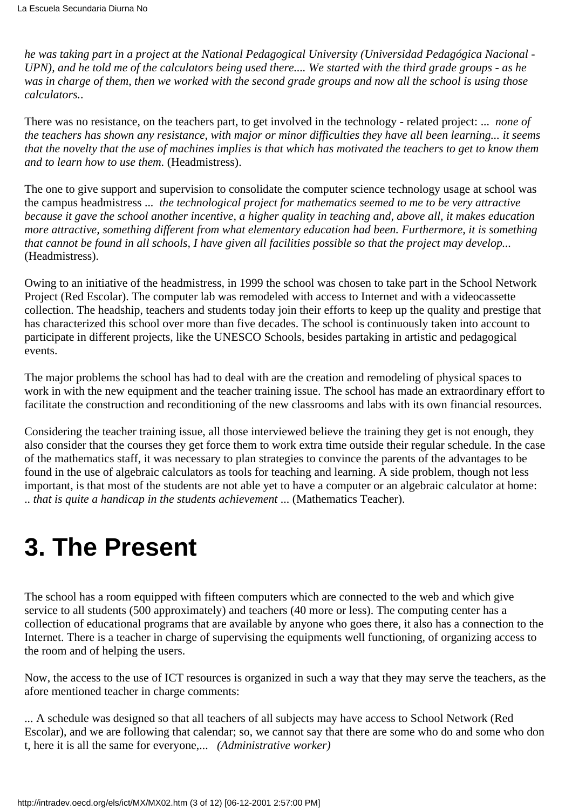*he was taking part in a project at the National Pedagogical University (Universidad Pedagógica Nacional - UPN), and he told me of the calculators being used there.... We started with the third grade groups - as he was in charge of them, then we worked with the second grade groups and now all the school is using those calculators.*.

There was no resistance, on the teachers part, to get involved in the technology - related project: ...*none of the teachers has shown any resistance, with major or minor difficulties they have all been learning... it seems that the novelty that the use of machines implies is that which has motivated the teachers to get to know them and to learn how to use them.* (Headmistress).

The one to give support and supervision to consolidate the computer science technology usage at school was the campus headmistress ... *the technological project for mathematics seemed to me to be very attractive because it gave the school another incentive, a higher quality in teaching and, above all, it makes education more attractive, something different from what elementary education had been. Furthermore, it is something that cannot be found in all schools, I have given all facilities possible so that the project may develop...* (Headmistress).

Owing to an initiative of the headmistress, in 1999 the school was chosen to take part in the School Network Project (Red Escolar). The computer lab was remodeled with access to Internet and with a videocassette collection. The headship, teachers and students today join their efforts to keep up the quality and prestige that has characterized this school over more than five decades. The school is continuously taken into account to participate in different projects, like the UNESCO Schools, besides partaking in artistic and pedagogical events.

The major problems the school has had to deal with are the creation and remodeling of physical spaces to work in with the new equipment and the teacher training issue. The school has made an extraordinary effort to facilitate the construction and reconditioning of the new classrooms and labs with its own financial resources.

Considering the teacher training issue, all those interviewed believe the training they get is not enough, they also consider that the courses they get force them to work extra time outside their regular schedule. In the case of the mathematics staff, it was necessary to plan strategies to convince the parents of the advantages to be found in the use of algebraic calculators as tools for teaching and learning. A side problem, though not less important, is that most of the students are not able yet to have a computer or an algebraic calculator at home: ..*that is quite a handicap in the students achievement*... (Mathematics Teacher).

# **3. The Present**

The school has a room equipped with fifteen computers which are connected to the web and which give service to all students (500 approximately) and teachers (40 more or less). The computing center has a collection of educational programs that are available by anyone who goes there, it also has a connection to the Internet. There is a teacher in charge of supervising the equipment s well functioning, of organizing access to the room and of helping the users.

Now, the access to the use of ICT resources is organized in such a way that they may serve the teachers, as the afore mentioned teacher in charge comments:

... A schedule was designed so that all teachers of all subjects may have access to School Network (Red Escolar), and we are following that calendar; so, we cannot say that there are some who do and some who don t, here it is all the same for everyone,... *(Administrative worker)*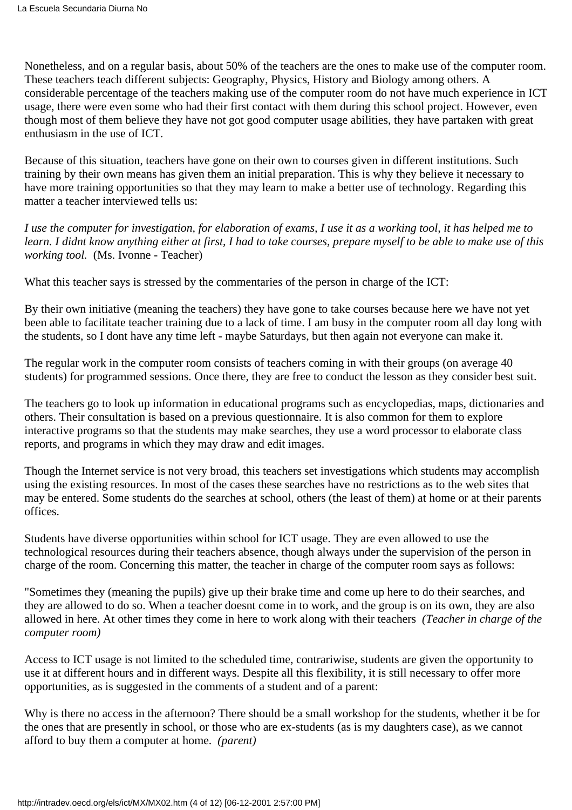Nonetheless, and on a regular basis, about 50% of the teachers are the ones to make use of the computer room. These teachers teach different subjects: Geography, Physics, History and Biology among others. A considerable percentage of the teachers making use of the computer room do not have much experience in ICT usage, there were even some who had their first contact with them during this school project. However, even though most of them believe they have not got good computer usage abilities, they have partaken with great enthusiasm in the use of ICT.

Because of this situation, teachers have gone on their own to courses given in different institutions. Such training by their own means has given them an initial preparation. This is why they believe it necessary to have more training opportunities so that they may learn to make a better use of technology. Regarding this matter a teacher interviewed tells us:

*I use the computer for investigation, for elaboration of exams, I use it as a working tool, it has helped me to learn. I didnt know anything either at first, I had to take courses, prepare myself to be able to make use of this working tool.* (Ms. Ivonne - Teacher)

What this teacher says is stressed by the commentaries of the person in charge of the ICT:

By their own initiative (meaning the teachers) they have gone to take courses because here we have not yet been able to facilitate teacher training due to a lack of time. I am busy in the computer room all day long with the students, so I dont have any time left - maybe Saturdays, but then again not everyone can make it.

The regular work in the computer room consists of teachers coming in with their groups (on average 40 students) for programmed sessions. Once there, they are free to conduct the lesson as they consider best suit.

The teachers go to look up information in educational programs such as encyclopedias, maps, dictionaries and others. Their consultation is based on a previous questionnaire. It is also common for them to explore interactive programs so that the students may make searches, they use a word processor to elaborate class reports, and programs in which they may draw and edit images.

Though the Internet service is not very broad, this teachers set investigations which students may accomplish using the existing resources. In most of the cases these searches have no restrictions as to the web sites that may be entered. Some students do the searches at school, others (the least of them) at home or at their parents offices.

Students have diverse opportunities within school for ICT usage. They are even allowed to use the technological resources during their teacher s absence, though always under the supervision of the person in charge of the room. Concerning this matter, the teacher in charge of the computer room says as follows:

"Sometimes they (meaning the pupils) give up their brake time and come up here to do their searches, and they are allowed to do so. When a teacher doesn t come in to work, and the group is on it s own, they are also allowed in here. At other times they come in here to work along with their teachers *(Teacher in charge of the computer room)*

Access to ICT usage is not limited to the scheduled time, contrariwise, students are given the opportunity to use it at different hours and in different ways. Despite all this flexibility, it is still necessary to offer more opportunities, as is suggested in the comments of a student and of a parent:

Why is there no access in the afternoon? There should be a small workshop for the students, whether it be for the ones that are presently in school, or those who are ex-students (as is my daughter s case), as we cannot afford to buy them a computer at home. *(parent)*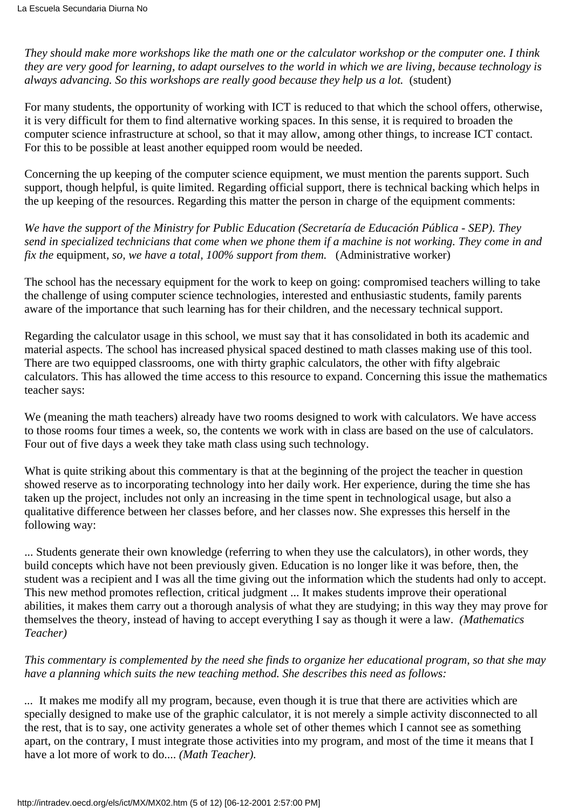*They should make more workshops like the math one or the calculator workshop or the computer one. I think they are very good for learning, to adapt ourselves to the world in which we are living, because technology is always advancing. So this workshops are really good because they help us a lot.* (student)

For many students, the opportunity of working with ICT is reduced to that which the school offers, otherwise, it is very difficult for them to find alternative working spaces. In this sense, it is required to broaden the computer science infrastructure at school, so that it may allow, among other things, to increase ICT contact. For this to be possible at least another equipped room would be needed.

Concerning the up keeping of the computer science equipment, we must mention the parents support. Such support, though helpful, is quite limited. Regarding official support, there is technical backing which helps in the up keeping of the resources. Regarding this matter the person in charge of the equipment comments:

*We have the support of the Ministry for Public Education (Secretaría de Educación Pública - SEP). They send in specialized technicians that come when we phone them if a machine is not working. They come in and fix the equipment, so, we have a total, 100% support from them.* (Administrative worker)

The school has the necessary equipment for the work to keep on going: compromised teachers willing to take the challenge of using computer science technologies, interested and enthusiastic students, family parents aware of the importance that such learning has for their children, and the necessary technical support.

Regarding the calculator usage in this school, we must say that it has consolidated in both its academic and material aspects. The school has increased physical spaced destined to math classes making use of this tool. There are two equipped classrooms, one with thirty graphic calculators, the other with fifty algebraic calculators. This has allowed the time access to this resource to expand. Concerning this issue the mathematics teacher says:

We (meaning the math teachers) already have two rooms designed to work with calculators. We have access to those rooms four times a week, so, the contents we work with in class are based on the use of calculators. Four out of five days a week they take math class using such technology.

What is quite striking about this commentary is that at the beginning of the project the teacher in question showed reserve as to incorporating technology into her daily work. Her experience, during the time she has taken up the project, includes not only an increasing in the time spent in technological usage, but also a qualitative difference between her classes before, and her classes now. She expresses this herself in the following way:

... Students generate their own knowledge (referring to when they use the calculators), in other words, they build concepts which have not been previously given. Education is no longer like it was before, then, the student was a recipient and I was all the time giving out the information which the students had only to accept. This new method promotes reflection, critical judgment ... It makes students improve their operational abilities, it makes them carry out a thorough analysis of what they are studying; in this way they may prove for themselves the theory, instead of having to accept everything I say as though it were a law. *(Mathematics Teacher)*

*This commentary is complemented by the need she finds to organize her educational program, so that she may have a planning which suits the new teaching method. She describes this need as follows:*

*...* It makes me modify all my program, because, even though it is true that there are activities which are specially designed to make use of the graphic calculator, it is not merely a simple activity disconnected to all the rest, that is to say, one activity generates a whole set of other themes which I cannot see as something apart, on the contrary, I must integrate those activities into my program, and most of the time it means that I have a lot more of work to do.... *(Math Teacher).*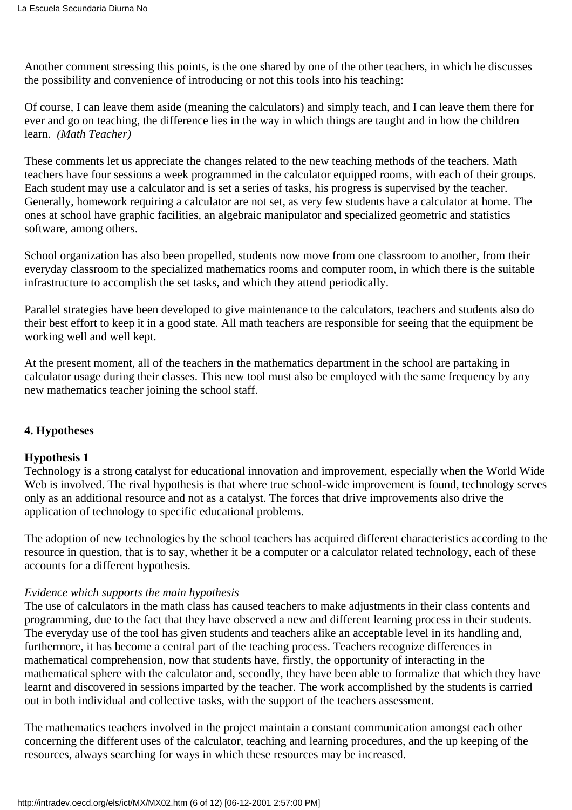Another comment stressing this points, is the one shared by one of the other teachers, in which he discusses the possibility and convenience of introducing or not this tools into his teaching:

Of course, I can leave them aside (meaning the calculators) and simply teach, and I can leave them there for ever and go on teaching, the difference lies in the way in which things are taught and in how the children learn. *(Math Teacher)*

These comments let us appreciate the changes related to the new teaching methods of the teachers. Math teachers have four sessions a week programmed in the calculator equipped rooms, with each of their groups. Each student may use a calculator and is set a series of tasks, his progress is supervised by the teacher. Generally, homework requiring a calculator are not set, as very few students have a calculator at home. The ones at school have graphic facilities, an algebraic manipulator and specialized geometric and statistics software, among others.

School organization has also been propelled, students now move from one classroom to another, from their everyday classroom to the specialized mathematics rooms and computer room, in which there is the suitable infrastructure to accomplish the set tasks, and which they attend periodically.

Parallel strategies have been developed to give maintenance to the calculators, teachers and students also do their best effort to keep it in a good state. All math teachers are responsible for seeing that the equipment be working well and well kept.

At the present moment, all of the teachers in the mathematics department in the school are partaking in calculator usage during their classes. This new tool must also be employed with the same frequency by any new mathematics teacher joining the school staff.

# **4. Hypotheses**

#### **Hypothesis 1**

Technology is a strong catalyst for educational innovation and improvement, especially when the World Wide Web is involved. The rival hypothesis is that where true school-wide improvement is found, technology serves only as an additional resource and not as a catalyst. The forces that drive improvements also drive the application of technology to specific educational problems.

The adoption of new technologies by the school teachers has acquired different characteristics according to the resource in question, that is to say, whether it be a computer or a calculator related technology, each of these accounts for a different hypothesis.

#### *Evidence which supports the main hypothesis*

The use of calculators in the math class has caused teachers to make adjustments in their class contents and programming, due to the fact that they have observed a new and different learning process in their students. The everyday use of the tool has given students and teachers alike an acceptable level in its handling and, furthermore, it has become a central part of the teaching process. Teachers recognize differences in mathematical comprehension, now that students have, firstly, the opportunity of interacting in the mathematical sphere with the calculator and, secondly, they have been able to formalize that which they have learnt and discovered in sessions imparted by the teacher. The work accomplished by the students is carried out in both individual and collective tasks, with the support of the teacher s assessment.

The mathematics teachers involved in the project maintain a constant communication amongst each other concerning the different uses of the calculator, teaching and learning procedures, and the up keeping of the resources, always searching for ways in which these resources may be increased.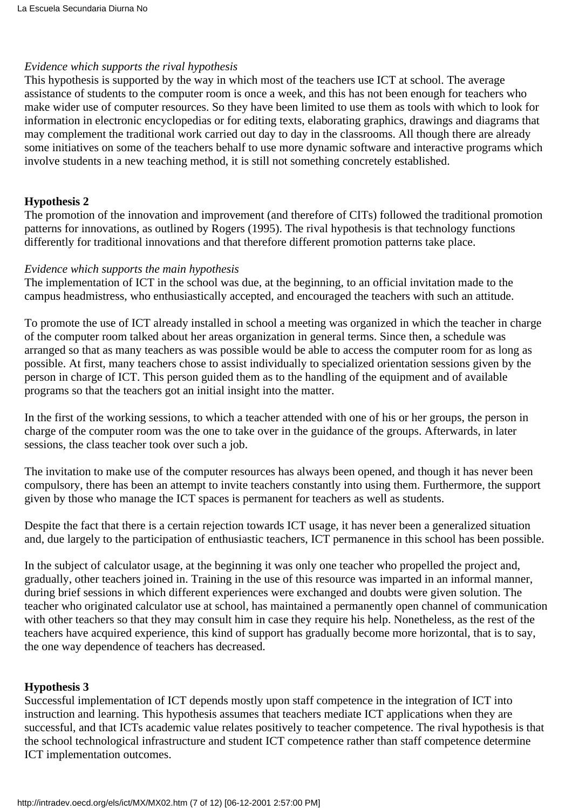#### *Evidence which supports the rival hypothesis*

This hypothesis is supported by the way in which most of the teachers use ICT at school. The average assistance of students to the computer room is once a week, and this has not been enough for teachers who make wider use of computer resources. So they have been limited to use them as tools with which to look for information in electronic encyclopedias or for editing texts, elaborating graphics, drawings and diagrams that may complement the traditional work carried out day to day in the classrooms. All though there are already some initiatives on some of the teachers behalf to use more dynamic software and interactive programs which involve students in a new teaching method, it is still not something concretely established.

#### **Hypothesis 2**

The promotion of the innovation and improvement (and therefore of CITs) followed the traditional promotion patterns for innovations, as outlined by Rogers (1995). The rival hypothesis is that technology functions differently for traditional innovations and that therefore different promotion patterns take place.

#### *Evidence which supports the main hypothesis*

The implementation of ICT in the school was due, at the beginning, to an official invitation made to the campus headmistress, who enthusiastically accepted, and encouraged the teachers with such an attitude.

To promote the use of ICT already installed in school a meeting was organized in which the teacher in charge of the computer room talked about her areas organization in general terms. Since then, a schedule was arranged so that as many teachers as was possible would be able to access the computer room for as long as possible. At first, many teachers chose to assist individually to specialized orientation sessions given by the person in charge of ICT. This person guided them as to the handling of the equipment and of available programs so that the teachers got an initial insight into the matter.

In the first of the working sessions, to which a teacher attended with one of his or her groups, the person in charge of the computer room was the one to take over in the guidance of the groups. Afterwards, in later sessions, the class teacher took over such a job.

The invitation to make use of the computer resources has always been opened, and though it has never been compulsory, there has been an attempt to invite teachers constantly into using them. Furthermore, the support given by those who manage the ICT spaces is permanent for teachers as well as students.

Despite the fact that there is a certain rejection towards ICT usage, it has never been a generalized situation and, due largely to the participation of enthusiastic teachers, ICT permanence in this school has been possible.

In the subject of calculator usage, at the beginning it was only one teacher who propelled the project and, gradually, other teachers joined in. Training in the use of this resource was imparted in an informal manner, during brief sessions in which different experiences were exchanged and doubts were given solution. The teacher who originated calculator use at school, has maintained a permanently open channel of communication with other teachers so that they may consult him in case they require his help. Nonetheless, as the rest of the teachers have acquired experience, this kind of support has gradually become more horizontal, that is to say, the one way dependence of teachers has decreased.

#### **Hypothesis 3**

Successful implementation of ICT depends mostly upon staff competence in the integration of ICT into instruction and learning. This hypothesis assumes that teachers mediate ICT applications when they are successful, and that ICT s academic value relates positively to teacher competence. The rival hypothesis is that the school technological infrastructure and student ICT competence rather than staff competence determine ICT implementation outcomes.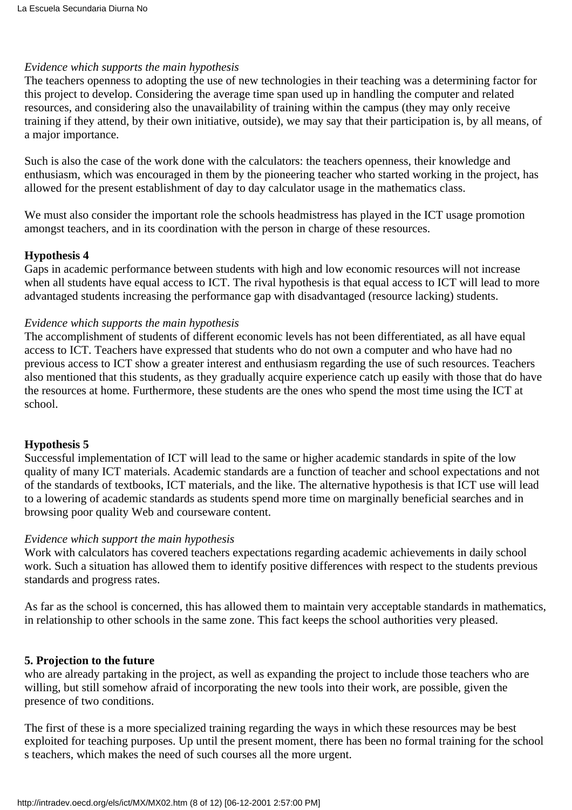## *Evidence which supports the main hypothesis*

The teacher s openness to adopting the use of new technologies in their teaching was a determining factor for this project to develop. Considering the average time span used up in handling the computer and related resources, and considering also the unavailability of training within the campus (they may only receive training if they attend, by their own initiative, outside), we may say that their participation is, by all means, of a major importance.

Such is also the case of the work done with the calculators: the teachers openness, their knowledge and enthusiasm, which was encouraged in them by the pioneering teacher who started working in the project, has allowed for the present establishment of day to day calculator usage in the mathematics class.

We must also consider the important role the school s headmistress has played in the ICT usage promotion amongst teachers, and in its coordination with the person in charge of these resources.

#### **Hypothesis 4**

Gaps in academic performance between students with high and low economic resources will not increase when all students have equal access to ICT. The rival hypothesis is that equal access to ICT will lead to more advantaged students increasing the performance gap with disadvantaged (resource lacking) students.

## *Evidence which supports the main hypothesis*

The accomplishment of students of different economic levels has not been differentiated, as all have equal access to ICT. Teachers have expressed that students who do not own a computer and who have had no previous access to ICT show a greater interest and enthusiasm regarding the use of such resources. Teachers also mentioned that this students, as they gradually acquire experience catch up easily with those that do have the resources at home. Furthermore, these students are the ones who spend the most time using the ICT at school.

# **Hypothesis 5**

Successful implementation of ICT will lead to the same or higher academic standards in spite of the low quality of many ICT materials. Academic standards are a function of teacher and school expectations and not of the standards of textbooks, ICT materials, and the like. The alternative hypothesis is that ICT use will lead to a lowering of academic standards as students spend more time on marginally beneficial searches and in browsing poor quality Web and courseware content.

# *Evidence which support the main hypothesis*

Work with calculators has covered teachers expectations regarding academic achievements in daily school work. Such a situation has allowed them to identify positive differences with respect to the students previous standards and progress rates.

As far as the school is concerned, this has allowed them to maintain very acceptable standards in mathematics, in relationship to other schools in the same zone. This fact keeps the school authorities very pleased.

#### **5. Projection to the future**

who are already partaking in the project, as well as expanding the project to include those teachers who are willing, but still somehow afraid of incorporating the new tools into their work, are possible, given the presence of two conditions.

The first of these is a more specialized training regarding the ways in which these resources may be best exploited for teaching purposes. Up until the present moment, there has been no formal training for the school s teachers, which makes the need of such courses all the more urgent.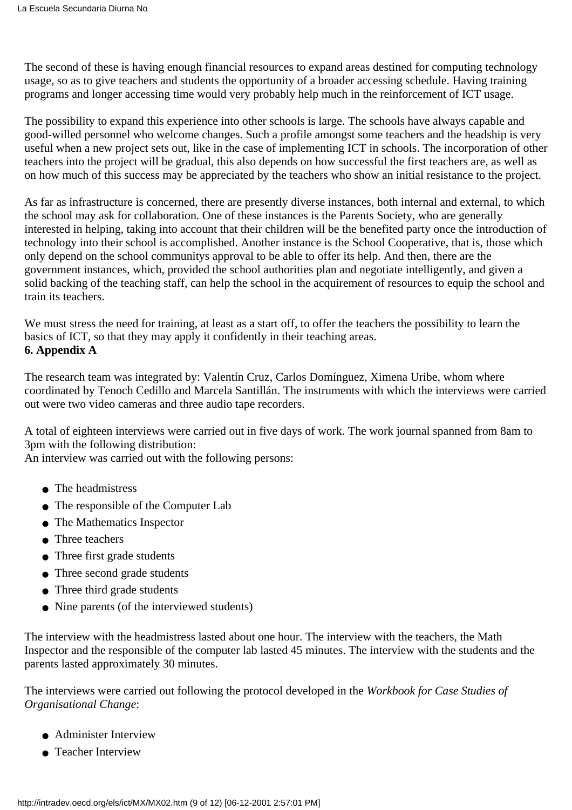The second of these is having enough financial resources to expand areas destined for computing technology usage, so as to give teachers and students the opportunity of a broader accessing schedule. Having training programs and longer accessing time would very probably help much in the reinforcement of ICT usage.

The possibility to expand this experience into other schools is large. The schools have always capable and good-willed personnel who welcome changes. Such a profile amongst some teachers and the headship is very useful when a new project sets out, like in the case of implementing ICT in schools. The incorporation of other teachers into the project will be gradual, this also depends on how successful the first teachers are, as well as on how much of this success may be appreciated by the teachers who show an initial resistance to the project.

As far as infrastructure is concerned, there are presently diverse instances, both internal and external, to which the school may ask for collaboration. One of these instances is the Parents Society, who are generally interested in helping, taking into account that their children will be the benefited party once the introduction of technology into their school is accomplished. Another instance is the School Cooperative, that is, those which only depend on the school communitys approval to be able to offer its help. And then, there are the government instances, which, provided the school authorities plan and negotiate intelligently, and given a solid backing of the teaching staff, can help the school in the acquirement of resources to equip the school and train its teachers.

We must stress the need for training, at least as a start off, to offer the teachers the possibility to learn the basics of ICT, so that they may apply it confidently in their teaching areas. **6. Appendix A**

The research team was integrated by: Valentín Cruz, Carlos Domínguez, Ximena Uribe, whom where coordinated by Tenoch Cedillo and Marcela Santillán. The instruments with which the interviews were carried out were two video cameras and three audio tape recorders.

A total of eighteen interviews were carried out in five days of work. The work journal spanned from 8am to 3pm with the following distribution:

An interview was carried out with the following persons:

- The headmistress
- The responsible of the Computer Lab
- The Mathematics Inspector
- Three teachers
- Three first grade students
- Three second grade students
- Three third grade students
- Nine parents (of the interviewed students)

The interview with the headmistress lasted about one hour. The interview with the teachers, the Math Inspector and the responsible of the computer lab lasted 45 minutes. The interview with the students and the parents lasted approximately 30 minutes.

The interviews were carried out following the protocol developed in the *Workbook for Case Studies of Organisational Change*:

- Administer Interview
- Teacher Interview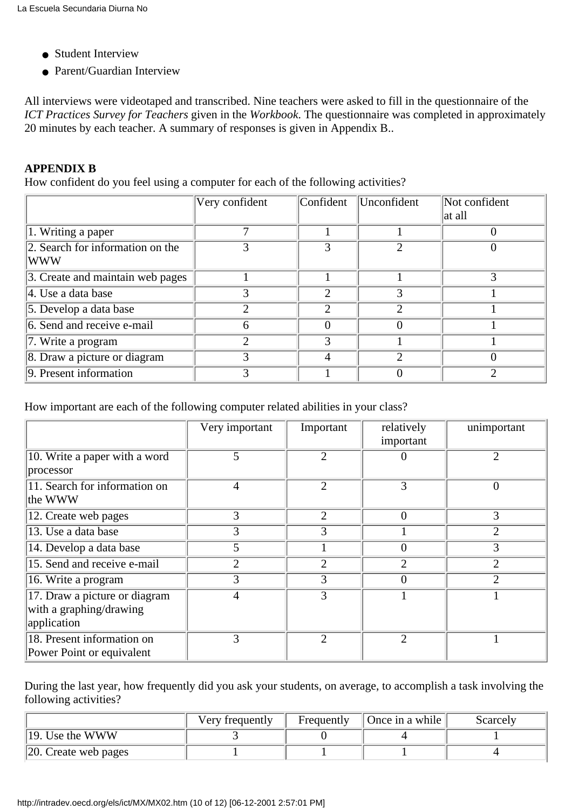- Student Interview
- Parent/Guardian Interview

All interviews were videotaped and transcribed. Nine teachers were asked to fill in the questionnaire of the *ICT Practices Survey for Teachers* given in the *Workbook*. The questionnaire was completed in approximately 20 minutes by each teacher. A summary of responses is given in Appendix B..

# **APPENDIX B**

How confident do you feel using a computer for each of the following activities?

|                                                | Very confident | Confident | Unconfident                 | Not confident<br>at all |
|------------------------------------------------|----------------|-----------|-----------------------------|-------------------------|
| $\overline{1}$ . Writing a paper               |                |           |                             |                         |
| 2. Search for information on the<br><b>WWW</b> |                |           | $\mathcal{D}_{\mathcal{A}}$ |                         |
| 3. Create and maintain web pages               |                |           |                             |                         |
| $\parallel$ 4. Use a data base                 |                | ⌒         | 3                           |                         |
| 5. Develop a data base                         | 2              | っ         | $\mathfrak{D}$              |                         |
| 6. Send and receive e-mail                     | 6              |           | 0                           |                         |
| 7. Write a program                             | っ              | 3         |                             |                         |
| 8. Draw a picture or diagram                   | 3              |           | ∍                           |                         |
| 9. Present information                         |                |           |                             |                         |

How important are each of the following computer related abilities in your class?

|                                                                         | Very important | Important      | relatively<br>important | unimportant    |
|-------------------------------------------------------------------------|----------------|----------------|-------------------------|----------------|
| 10. Write a paper with a word<br>processor                              | 5              | $\overline{2}$ | 0                       | $\overline{2}$ |
| 11. Search for information on<br>the WWW                                | 4              | $\overline{2}$ | 3                       | $\overline{0}$ |
| 12. Create web pages                                                    | 3              | $\overline{2}$ | $\overline{0}$          | 3              |
| 13. Use a data base                                                     | 3              | 3              |                         | $\mathfrak{D}$ |
| 14. Develop a data base                                                 | 5              |                | 0                       | 3              |
| 15. Send and receive e-mail                                             | $\overline{2}$ | $\overline{2}$ | $\overline{2}$          | $\overline{2}$ |
| 16. Write a program                                                     | 3              | 3              | $\overline{0}$          | $\overline{2}$ |
| 17. Draw a picture or diagram<br>with a graphing/drawing<br>application | 4              | 3              |                         |                |
| 18. Present information on<br>Power Point or equivalent                 | 3              | $\overline{2}$ | $\overline{2}$          |                |

During the last year, how frequently did you ask your students, on average, to accomplish a task involving the following activities?

|                              | Very frequently | Frequently | Once in a while | Scarcely |
|------------------------------|-----------------|------------|-----------------|----------|
| $\parallel$ 19. Use the WWW  |                 |            |                 |          |
| $\vert$ 20. Create web pages |                 |            |                 |          |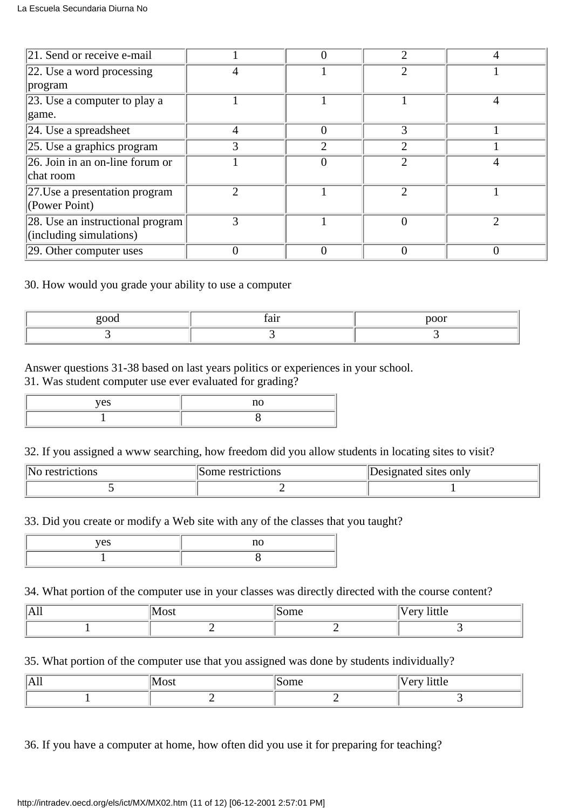| $\vert$ 21. Send or receive e-mail        |   |   | ∍                           |  |
|-------------------------------------------|---|---|-----------------------------|--|
| $\vert$ 22. Use a word processing         |   |   | $\mathcal{D}_{\mathcal{A}}$ |  |
| program                                   |   |   |                             |  |
| $ 23$ . Use a computer to play a          |   |   |                             |  |
| game.                                     |   |   |                             |  |
| 24. Use a spreadsheet                     | 4 |   |                             |  |
| $\vert$ 25. Use a graphics program        |   | ◠ | ◠                           |  |
| $\sqrt{26}$ . Join in an on-line forum or |   |   | っ                           |  |
| chat room                                 |   |   |                             |  |
| $ 27$ . Use a presentation program        |   |   | っ                           |  |
| (Power Point)                             |   |   |                             |  |
| 28. Use an instructional program          | 3 |   | $\theta$                    |  |
| (including simulations)                   |   |   |                             |  |
| $ 29$ . Other computer uses               |   |   | 0                           |  |

## 30. How would you grade your ability to use a computer

| $\sim$ $\sim$ |  |
|---------------|--|
|               |  |

#### Answer questions 31-38 based on last years politics or experiences in your school. 31. Was student computer use ever evaluated for grading?

#### 32. If you assigned a www searching, how freedom did you allow students in locating sites to visit?

| "Nc<br>restrictions | restrictions<br>some | Designated sites only |
|---------------------|----------------------|-----------------------|
|                     |                      |                       |

33. Did you create or modify a Web site with any of the classes that you taught?

| $\sim$ $\sim$ $\sim$ |  |
|----------------------|--|
|                      |  |

#### 34. What portion of the computer use in your classes was directly directed with the course content?

| $\mathbf{v}$<br>$\mathbf{A}$ II | $\sqrt{2}$<br>TOPL | -<br>$-$<br>THEFT<br>$\mathbf{u}$ |
|---------------------------------|--------------------|-----------------------------------|
|                                 |                    |                                   |

# 35. What portion of the computer use that you assigned was done by students individually?

| IAII | $1\,$ M $\alpha$<br>ww | $ \sim$ $\sim$ | - -<br>$\sim$ $\sim$ $\sim$<br>1111C<br>◡ |
|------|------------------------|----------------|-------------------------------------------|
|      |                        |                |                                           |

36. If you have a computer at home, how often did you use it for preparing for teaching?